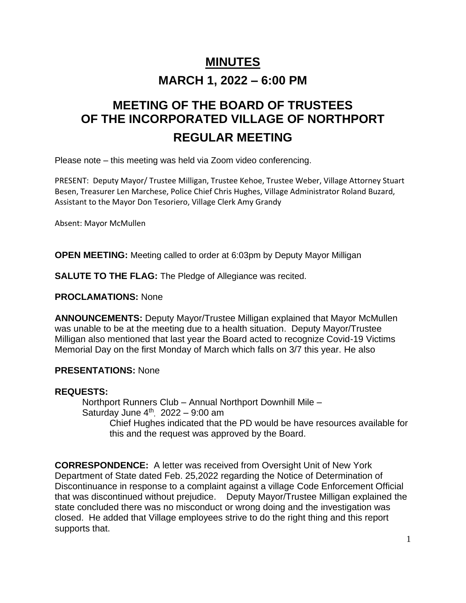# **MINUTES**

# **MARCH 1, 2022 – 6:00 PM**

# **MEETING OF THE BOARD OF TRUSTEES OF THE INCORPORATED VILLAGE OF NORTHPORT REGULAR MEETING**

Please note – this meeting was held via Zoom video conferencing.

PRESENT: Deputy Mayor/ Trustee Milligan, Trustee Kehoe, Trustee Weber, Village Attorney Stuart Besen, Treasurer Len Marchese, Police Chief Chris Hughes, Village Administrator Roland Buzard, Assistant to the Mayor Don Tesoriero, Village Clerk Amy Grandy

Absent: Mayor McMullen

**OPEN MEETING:** Meeting called to order at 6:03pm by Deputy Mayor Milligan

**SALUTE TO THE FLAG:** The Pledge of Allegiance was recited.

**PROCLAMATIONS:** None

**ANNOUNCEMENTS:** Deputy Mayor/Trustee Milligan explained that Mayor McMullen was unable to be at the meeting due to a health situation. Deputy Mayor/Trustee Milligan also mentioned that last year the Board acted to recognize Covid-19 Victims Memorial Day on the first Monday of March which falls on 3/7 this year. He also

#### **PRESENTATIONS:** None

#### **REQUESTS:**

Northport Runners Club – Annual Northport Downhill Mile – Saturday June  $4<sup>th</sup>$ , 2022 - 9:00 am Chief Hughes indicated that the PD would be have resources available for this and the request was approved by the Board.

**CORRESPONDENCE:** A letter was received from Oversight Unit of New York Department of State dated Feb. 25,2022 regarding the Notice of Determination of Discontinuance in response to a complaint against a village Code Enforcement Official that was discontinued without prejudice. Deputy Mayor/Trustee Milligan explained the state concluded there was no misconduct or wrong doing and the investigation was closed. He added that Village employees strive to do the right thing and this report supports that.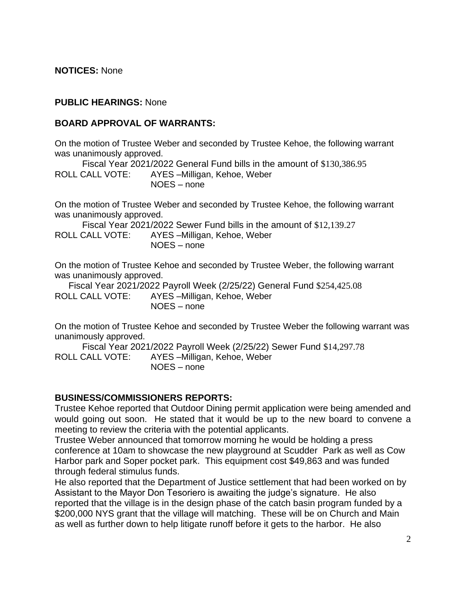**NOTICES:** None

#### **PUBLIC HEARINGS:** None

#### **BOARD APPROVAL OF WARRANTS:**

On the motion of Trustee Weber and seconded by Trustee Kehoe, the following warrant was unanimously approved.

Fiscal Year 2021/2022 General Fund bills in the amount of \$130,386.95 ROLL CALL VOTE: AYES –Milligan, Kehoe, Weber NOES – none

On the motion of Trustee Weber and seconded by Trustee Kehoe, the following warrant was unanimously approved.

Fiscal Year 2021/2022 Sewer Fund bills in the amount of \$12,139.27 ROLL CALL VOTE: AYES –Milligan, Kehoe, Weber NOES – none

On the motion of Trustee Kehoe and seconded by Trustee Weber, the following warrant was unanimously approved.

Fiscal Year 2021/2022 Payroll Week (2/25/22) General Fund \$254,425.08 ROLL CALL VOTE: AYES –Milligan, Kehoe, Weber NOES – none

On the motion of Trustee Kehoe and seconded by Trustee Weber the following warrant was unanimously approved.

Fiscal Year 2021/2022 Payroll Week (2/25/22) Sewer Fund \$14,297.78 ROLL CALL VOTE: AYES –Milligan, Kehoe, Weber NOES – none

#### **BUSINESS/COMMISSIONERS REPORTS:**

Trustee Kehoe reported that Outdoor Dining permit application were being amended and would going out soon. He stated that it would be up to the new board to convene a meeting to review the criteria with the potential applicants.

Trustee Weber announced that tomorrow morning he would be holding a press conference at 10am to showcase the new playground at Scudder Park as well as Cow Harbor park and Soper pocket park. This equipment cost \$49,863 and was funded through federal stimulus funds.

He also reported that the Department of Justice settlement that had been worked on by Assistant to the Mayor Don Tesoriero is awaiting the judge's signature. He also reported that the village is in the design phase of the catch basin program funded by a \$200,000 NYS grant that the village will matching. These will be on Church and Main as well as further down to help litigate runoff before it gets to the harbor. He also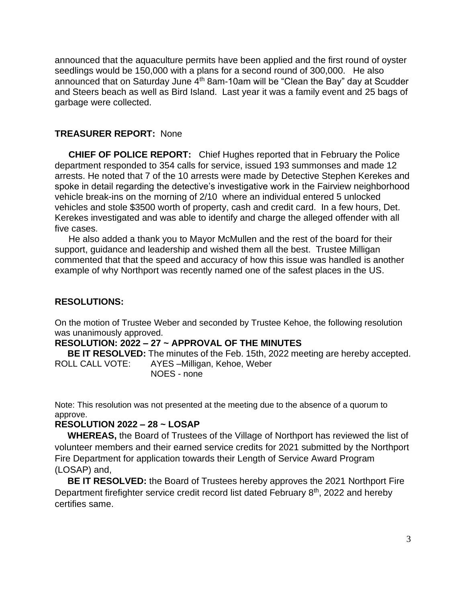announced that the aquaculture permits have been applied and the first round of oyster seedlings would be 150,000 with a plans for a second round of 300,000. He also announced that on Saturday June  $4<sup>th</sup>$  8am-10am will be "Clean the Bay" day at Scudder and Steers beach as well as Bird Island. Last year it was a family event and 25 bags of garbage were collected.

#### **TREASURER REPORT:** None

**CHIEF OF POLICE REPORT:** Chief Hughes reported that in February the Police department responded to 354 calls for service, issued 193 summonses and made 12 arrests. He noted that 7 of the 10 arrests were made by Detective Stephen Kerekes and spoke in detail regarding the detective's investigative work in the Fairview neighborhood vehicle break-ins on the morning of 2/10 where an individual entered 5 unlocked vehicles and stole \$3500 worth of property, cash and credit card. In a few hours, Det. Kerekes investigated and was able to identify and charge the alleged offender with all five cases.

He also added a thank you to Mayor McMullen and the rest of the board for their support, guidance and leadership and wished them all the best. Trustee Milligan commented that that the speed and accuracy of how this issue was handled is another example of why Northport was recently named one of the safest places in the US.

#### **RESOLUTIONS:**

On the motion of Trustee Weber and seconded by Trustee Kehoe, the following resolution was unanimously approved.

#### **RESOLUTION: 2022 – 27 ~ APPROVAL OF THE MINUTES**

 **BE IT RESOLVED:** The minutes of the Feb. 15th, 2022 meeting are hereby accepted. ROLL CALL VOTE: AYES –Milligan, Kehoe, Weber NOES - none

Note: This resolution was not presented at the meeting due to the absence of a quorum to approve.

#### **RESOLUTION 2022 – 28 ~ LOSAP**

 **WHEREAS,** the Board of Trustees of the Village of Northport has reviewed the list of volunteer members and their earned service credits for 2021 submitted by the Northport Fire Department for application towards their Length of Service Award Program (LOSAP) and,

 **BE IT RESOLVED:** the Board of Trustees hereby approves the 2021 Northport Fire Department firefighter service credit record list dated February 8<sup>th</sup>, 2022 and hereby certifies same.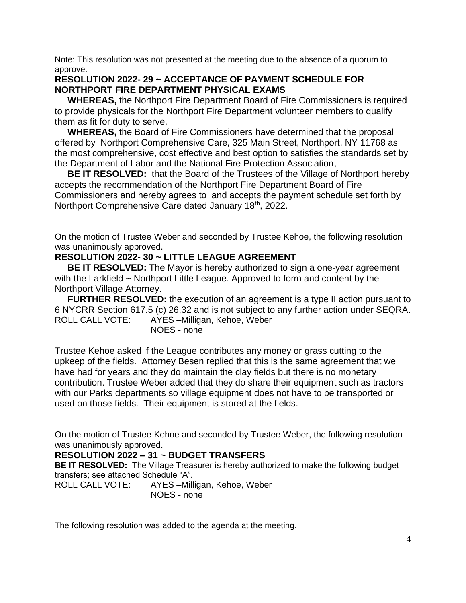Note: This resolution was not presented at the meeting due to the absence of a quorum to approve.

#### **RESOLUTION 2022- 29 ~ ACCEPTANCE OF PAYMENT SCHEDULE FOR NORTHPORT FIRE DEPARTMENT PHYSICAL EXAMS**

 **WHEREAS,** the Northport Fire Department Board of Fire Commissioners is required to provide physicals for the Northport Fire Department volunteer members to qualify them as fit for duty to serve,

 **WHEREAS,** the Board of Fire Commissioners have determined that the proposal offered by Northport Comprehensive Care, 325 Main Street, Northport, NY 11768 as the most comprehensive, cost effective and best option to satisfies the standards set by the Department of Labor and the National Fire Protection Association,

 **BE IT RESOLVED:** that the Board of the Trustees of the Village of Northport hereby accepts the recommendation of the Northport Fire Department Board of Fire Commissioners and hereby agrees to and accepts the payment schedule set forth by Northport Comprehensive Care dated January 18th, 2022.

On the motion of Trustee Weber and seconded by Trustee Kehoe, the following resolution was unanimously approved.

### **RESOLUTION 2022- 30 ~ LITTLE LEAGUE AGREEMENT**

 **BE IT RESOLVED:** The Mayor is hereby authorized to sign a one-year agreement with the Larkfield ~ Northport Little League. Approved to form and content by the Northport Village Attorney.

**FURTHER RESOLVED:** the execution of an agreement is a type II action pursuant to 6 NYCRR Section 617.5 (c) 26,32 and is not subject to any further action under SEQRA. ROLL CALL VOTE: AYES –Milligan, Kehoe, Weber NOES - none

Trustee Kehoe asked if the League contributes any money or grass cutting to the upkeep of the fields. Attorney Besen replied that this is the same agreement that we have had for years and they do maintain the clay fields but there is no monetary contribution. Trustee Weber added that they do share their equipment such as tractors with our Parks departments so village equipment does not have to be transported or used on those fields. Their equipment is stored at the fields.

On the motion of Trustee Kehoe and seconded by Trustee Weber, the following resolution was unanimously approved.

## **RESOLUTION 2022 – 31 ~ BUDGET TRANSFERS**

**BE IT RESOLVED:** The Village Treasurer is hereby authorized to make the following budget transfers; see attached Schedule "A".

ROLL CALL VOTE: AYES –Milligan, Kehoe, Weber NOES - none

The following resolution was added to the agenda at the meeting.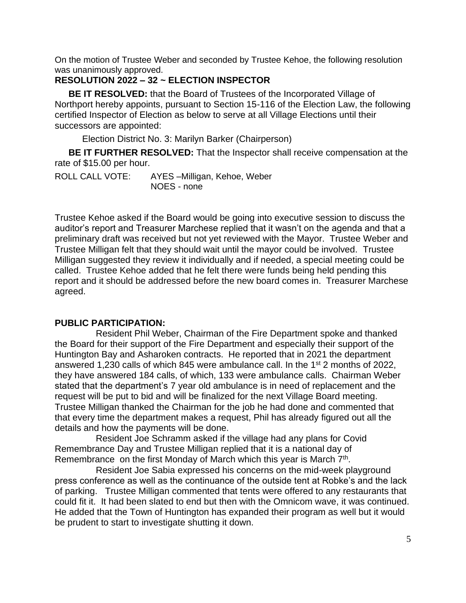On the motion of Trustee Weber and seconded by Trustee Kehoe, the following resolution was unanimously approved.

## **RESOLUTION 2022 – 32 ~ ELECTION INSPECTOR**

**BE IT RESOLVED:** that the Board of Trustees of the Incorporated Village of Northport hereby appoints, pursuant to Section 15-116 of the Election Law, the following certified Inspector of Election as below to serve at all Village Elections until their successors are appointed:

Election District No. 3: Marilyn Barker (Chairperson)

**BE IT FURTHER RESOLVED:** That the Inspector shall receive compensation at the rate of \$15.00 per hour.

ROLL CALL VOTE: AYES –Milligan, Kehoe, Weber NOES - none

Trustee Kehoe asked if the Board would be going into executive session to discuss the auditor's report and Treasurer Marchese replied that it wasn't on the agenda and that a preliminary draft was received but not yet reviewed with the Mayor. Trustee Weber and Trustee Milligan felt that they should wait until the mayor could be involved. Trustee Milligan suggested they review it individually and if needed, a special meeting could be called. Trustee Kehoe added that he felt there were funds being held pending this report and it should be addressed before the new board comes in. Treasurer Marchese agreed.

#### **PUBLIC PARTICIPATION:**

Resident Phil Weber, Chairman of the Fire Department spoke and thanked the Board for their support of the Fire Department and especially their support of the Huntington Bay and Asharoken contracts. He reported that in 2021 the department answered 1,230 calls of which 845 were ambulance call. In the 1st 2 months of 2022, they have answered 184 calls, of which, 133 were ambulance calls. Chairman Weber stated that the department's 7 year old ambulance is in need of replacement and the request will be put to bid and will be finalized for the next Village Board meeting. Trustee Milligan thanked the Chairman for the job he had done and commented that that every time the department makes a request, Phil has already figured out all the details and how the payments will be done.

Resident Joe Schramm asked if the village had any plans for Covid Remembrance Day and Trustee Milligan replied that it is a national day of Remembrance on the first Monday of March which this year is March  $7<sup>th</sup>$ .

Resident Joe Sabia expressed his concerns on the mid-week playground press conference as well as the continuance of the outside tent at Robke's and the lack of parking. Trustee Milligan commented that tents were offered to any restaurants that could fit it. It had been slated to end but then with the Omnicom wave, it was continued. He added that the Town of Huntington has expanded their program as well but it would be prudent to start to investigate shutting it down.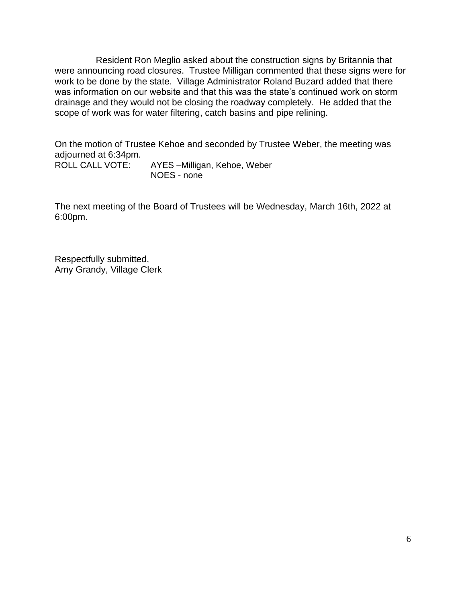Resident Ron Meglio asked about the construction signs by Britannia that were announcing road closures. Trustee Milligan commented that these signs were for work to be done by the state. Village Administrator Roland Buzard added that there was information on our website and that this was the state's continued work on storm drainage and they would not be closing the roadway completely. He added that the scope of work was for water filtering, catch basins and pipe relining.

On the motion of Trustee Kehoe and seconded by Trustee Weber, the meeting was adjourned at 6:34pm.<br>ROLL CALL VOTE: AYES –Milligan, Kehoe, Weber

NOES - none

The next meeting of the Board of Trustees will be Wednesday, March 16th, 2022 at 6:00pm.

Respectfully submitted, Amy Grandy, Village Clerk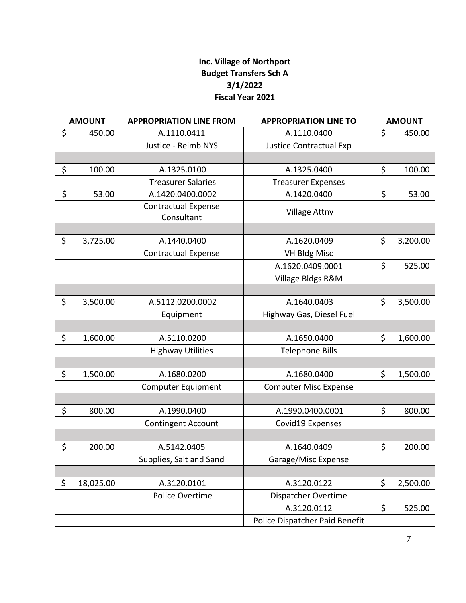# **Inc. Village of Northport Budget Transfers Sch A 3/1/2022 Fiscal Year 2021**

| <b>AMOUNT</b> |           | <b>APPROPRIATION LINE FROM</b>           | <b>APPROPRIATION LINE TO</b>   | <b>AMOUNT</b>  |  |
|---------------|-----------|------------------------------------------|--------------------------------|----------------|--|
| \$            | 450.00    | A.1110.0411                              | A.1110.0400                    | \$<br>450.00   |  |
|               |           | Justice - Reimb NYS                      | <b>Justice Contractual Exp</b> |                |  |
|               |           |                                          |                                |                |  |
| \$            | 100.00    | A.1325.0100                              | A.1325.0400                    | \$<br>100.00   |  |
|               |           | <b>Treasurer Salaries</b>                | <b>Treasurer Expenses</b>      |                |  |
| \$            | 53.00     | A.1420.0400.0002                         | A.1420.0400                    | \$<br>53.00    |  |
|               |           | <b>Contractual Expense</b><br>Consultant | <b>Village Attny</b>           |                |  |
|               |           |                                          |                                |                |  |
| \$            | 3,725.00  | A.1440.0400                              | A.1620.0409                    | \$<br>3,200.00 |  |
|               |           | <b>Contractual Expense</b>               | <b>VH Bldg Misc</b>            |                |  |
|               |           |                                          | A.1620.0409.0001               | \$<br>525.00   |  |
|               |           |                                          | Village Bldgs R&M              |                |  |
|               |           |                                          |                                |                |  |
| \$            | 3,500.00  | A.5112.0200.0002                         | A.1640.0403                    | \$<br>3,500.00 |  |
|               |           | Equipment                                | Highway Gas, Diesel Fuel       |                |  |
|               |           |                                          |                                |                |  |
| \$            | 1,600.00  | A.5110.0200                              | A.1650.0400                    | \$<br>1,600.00 |  |
|               |           | <b>Highway Utilities</b>                 | <b>Telephone Bills</b>         |                |  |
|               |           |                                          |                                |                |  |
| \$            | 1,500.00  | A.1680.0200                              | A.1680.0400                    | \$<br>1,500.00 |  |
|               |           | <b>Computer Equipment</b>                | <b>Computer Misc Expense</b>   |                |  |
|               |           |                                          |                                |                |  |
| \$            | 800.00    | A.1990.0400                              | A.1990.0400.0001               | \$<br>800.00   |  |
|               |           | <b>Contingent Account</b>                | Covid19 Expenses               |                |  |
|               |           |                                          |                                |                |  |
| \$            | 200.00    | A.5142.0405                              | A.1640.0409                    | \$<br>200.00   |  |
|               |           | Supplies, Salt and Sand                  | Garage/Misc Expense            |                |  |
|               |           |                                          |                                |                |  |
| \$            | 18,025.00 | A.3120.0101                              | A.3120.0122                    | \$<br>2,500.00 |  |
|               |           | Police Overtime                          | Dispatcher Overtime            |                |  |
|               |           |                                          | A.3120.0112                    | \$<br>525.00   |  |
|               |           |                                          | Police Dispatcher Paid Benefit |                |  |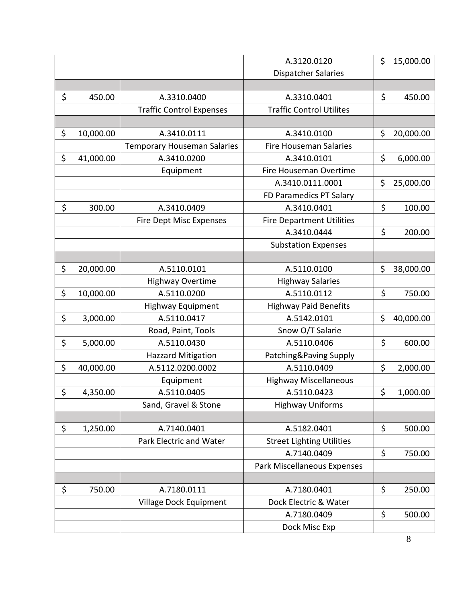|                 |                                    | A.3120.0120                      | \$<br>15,000.00 |
|-----------------|------------------------------------|----------------------------------|-----------------|
|                 |                                    | <b>Dispatcher Salaries</b>       |                 |
|                 |                                    |                                  |                 |
| \$<br>450.00    | A.3310.0400                        | A.3310.0401                      | \$<br>450.00    |
|                 | <b>Traffic Control Expenses</b>    | <b>Traffic Control Utilites</b>  |                 |
|                 |                                    |                                  |                 |
| \$<br>10,000.00 | A.3410.0111                        | A.3410.0100                      | \$<br>20,000.00 |
|                 | <b>Temporary Houseman Salaries</b> | <b>Fire Houseman Salaries</b>    |                 |
| \$<br>41,000.00 | A.3410.0200                        | A.3410.0101                      | \$<br>6,000.00  |
|                 | Equipment                          | Fire Houseman Overtime           |                 |
|                 |                                    | A.3410.0111.0001                 | \$<br>25,000.00 |
|                 |                                    | FD Paramedics PT Salary          |                 |
| \$<br>300.00    | A.3410.0409                        | A.3410.0401                      | \$<br>100.00    |
|                 | <b>Fire Dept Misc Expenses</b>     | <b>Fire Department Utilities</b> |                 |
|                 |                                    | A.3410.0444                      | \$<br>200.00    |
|                 |                                    | <b>Substation Expenses</b>       |                 |
|                 |                                    |                                  |                 |
| \$<br>20,000.00 | A.5110.0101                        | A.5110.0100                      | \$<br>38,000.00 |
|                 | <b>Highway Overtime</b>            | <b>Highway Salaries</b>          |                 |
| \$<br>10,000.00 | A.5110.0200                        | A.5110.0112                      | \$<br>750.00    |
|                 | <b>Highway Equipment</b>           | <b>Highway Paid Benefits</b>     |                 |
| \$<br>3,000.00  | A.5110.0417                        | A.5142.0101                      | \$<br>40,000.00 |
|                 | Road, Paint, Tools                 | Snow O/T Salarie                 |                 |
| \$<br>5,000.00  | A.5110.0430                        | A.5110.0406                      | \$<br>600.00    |
|                 | <b>Hazzard Mitigation</b>          | Patching&Paving Supply           |                 |
| \$<br>40,000.00 | A.5112.0200.0002                   | A.5110.0409                      | \$<br>2,000.00  |
|                 | Equipment                          | <b>Highway Miscellaneous</b>     |                 |
| \$<br>4,350.00  | A.5110.0405                        | A.5110.0423                      | \$<br>1,000.00  |
|                 | Sand, Gravel & Stone               | <b>Highway Uniforms</b>          |                 |
|                 |                                    |                                  |                 |
| \$<br>1,250.00  | A.7140.0401                        | A.5182.0401                      | \$<br>500.00    |
|                 | Park Electric and Water            | <b>Street Lighting Utilities</b> |                 |
|                 |                                    | A.7140.0409                      | \$<br>750.00    |
|                 |                                    | Park Miscellaneous Expenses      |                 |
|                 |                                    |                                  |                 |
| \$<br>750.00    | A.7180.0111                        | A.7180.0401                      | \$<br>250.00    |
|                 | Village Dock Equipment             | Dock Electric & Water            |                 |
|                 |                                    | A.7180.0409                      | \$<br>500.00    |
|                 |                                    | Dock Misc Exp                    |                 |